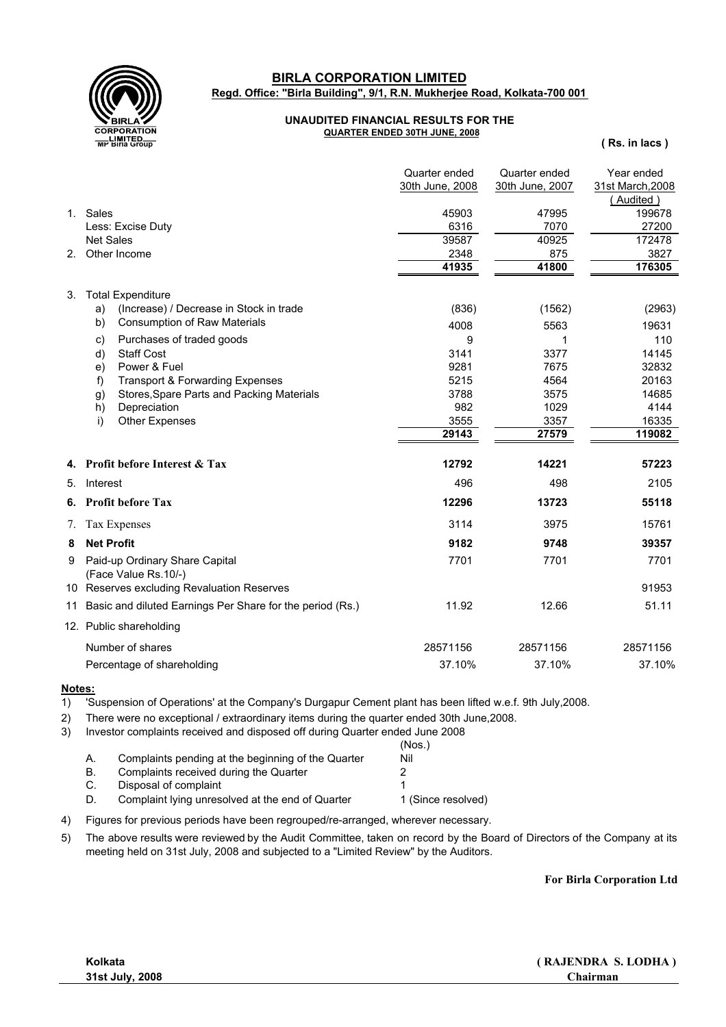

**Regd. Office: "Birla Building", 9/1, R.N. Mukherjee Road, Kolkata-700 001 BIRLA CORPORATION LIMITED**

## **UNAUDITED FINANCIAL RESULTS FOR THE QUARTER ENDED 30TH JUNE, 2008**

**( Rs. in lacs )**

|               |                                                           | Quarter ended   | Quarter ended   | Year ended       |
|---------------|-----------------------------------------------------------|-----------------|-----------------|------------------|
|               |                                                           | 30th June, 2008 | 30th June, 2007 | 31st March, 2008 |
|               |                                                           |                 |                 | (Audited)        |
| 1.            | Sales                                                     | 45903           | 47995           | 199678           |
|               | Less: Excise Duty                                         | 6316            | 7070            | 27200            |
|               | <b>Net Sales</b>                                          | 39587           | 40925           | 172478           |
| 2.            | Other Income                                              | 2348            | 875             | 3827             |
|               |                                                           | 41935           | 41800           | 176305           |
| 3.            | <b>Total Expenditure</b>                                  |                 |                 |                  |
|               | a)<br>(Increase) / Decrease in Stock in trade             | (836)           | (1562)          | (2963)           |
|               | <b>Consumption of Raw Materials</b><br>b)                 | 4008            | 5563            | 19631            |
|               | Purchases of traded goods<br>C)                           | 9               | 1               | 110              |
|               | <b>Staff Cost</b><br>d)                                   | 3141            | 3377            | 14145            |
|               | Power & Fuel<br>e)                                        | 9281            | 7675            | 32832            |
|               | <b>Transport &amp; Forwarding Expenses</b><br>f)          | 5215            | 4564            | 20163            |
|               | Stores, Spare Parts and Packing Materials<br>g)           | 3788            | 3575            | 14685            |
|               | h)<br>Depreciation                                        | 982             | 1029            | 4144             |
|               | i)<br>Other Expenses                                      | 3555            | 3357            | 16335            |
|               |                                                           | 29143           | 27579           | 119082           |
|               | 4. Profit before Interest & Tax                           | 12792           | 14221           | 57223            |
|               | 5. Interest                                               | 496             | 498             | 2105             |
|               | <b>6.</b> Profit before Tax                               | 12296           | 13723           | 55118            |
| $\mathcal{L}$ | Tax Expenses                                              | 3114            | 3975            | 15761            |
| 8             | <b>Net Profit</b>                                         | 9182            | 9748            | 39357            |
| 9             | Paid-up Ordinary Share Capital<br>(Face Value Rs.10/-)    | 7701            | 7701            | 7701             |
|               | 10 Reserves excluding Revaluation Reserves                |                 |                 | 91953            |
| 11            | Basic and diluted Earnings Per Share for the period (Rs.) | 11.92           | 12.66           | 51.11            |
|               | 12. Public shareholding                                   |                 |                 |                  |
|               | Number of shares                                          | 28571156        | 28571156        | 28571156         |
|               | Percentage of shareholding                                | 37.10%          | 37.10%          | 37.10%           |

**Notes:**

 $\overline{1}$ 'Suspension of Operations' at the Company's Durgapur Cement plant has been lifted w.e.f. 9th July,2008.

- 2) There were no exceptional / extraordinary items during the quarter ended 30th June,2008.
- 3) Investor complaints received and disposed off during Quarter ended June 2008

|    |                                                    | (Nos.)             |
|----|----------------------------------------------------|--------------------|
|    | Complaints pending at the beginning of the Quarter | Nil                |
| В. | Complaints received during the Quarter             |                    |
| C. | Disposal of complaint                              |                    |
| D. | Complaint Iving unresolved at the end of Quarter   | 1 (Since resolved) |

4) Figures for previous periods have been regrouped/re-arranged, wherever necessary.

5) The above results were reviewed by the Audit Committee, taken on record by the Board of Directors of the Company at its meeting held on 31st July, 2008 and subjected to a "Limited Review" by the Auditors.

**For Birla Corporation Ltd**